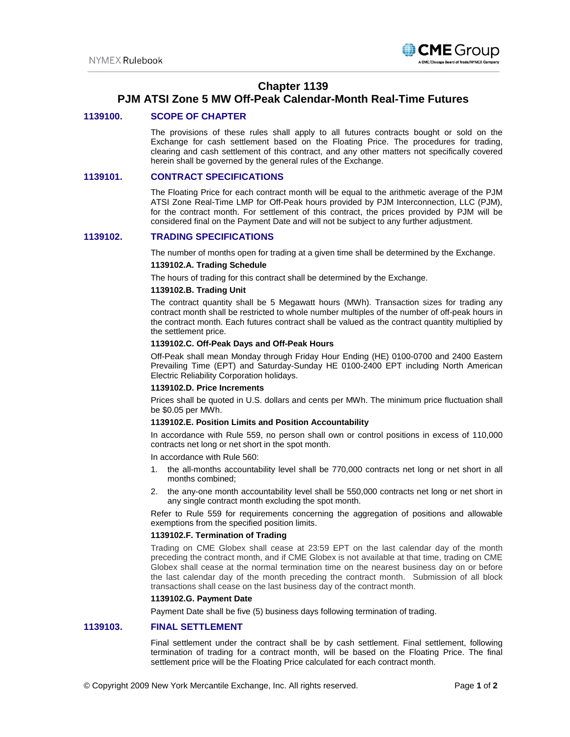

# **Chapter 1139**

# **PJM ATSI Zone 5 MW Off-Peak Calendar-Month Real-Time Futures**

## **1139100. SCOPE OF CHAPTER**

The provisions of these rules shall apply to all futures contracts bought or sold on the Exchange for cash settlement based on the Floating Price. The procedures for trading, clearing and cash settlement of this contract, and any other matters not specifically covered herein shall be governed by the general rules of the Exchange.

## **1139101. CONTRACT SPECIFICATIONS**

The Floating Price for each contract month will be equal to the arithmetic average of the PJM ATSI Zone Real-Time LMP for Off-Peak hours provided by PJM Interconnection, LLC (PJM), for the contract month. For settlement of this contract, the prices provided by PJM will be considered final on the Payment Date and will not be subject to any further adjustment.

## **1139102. TRADING SPECIFICATIONS**

The number of months open for trading at a given time shall be determined by the Exchange.

## **1139102.A. Trading Schedule**

The hours of trading for this contract shall be determined by the Exchange.

## **1139102.B. Trading Unit**

The contract quantity shall be 5 Megawatt hours (MWh). Transaction sizes for trading any contract month shall be restricted to whole number multiples of the number of off-peak hours in the contract month. Each futures contract shall be valued as the contract quantity multiplied by the settlement price.

#### **1139102.C. Off-Peak Days and Off-Peak Hours**

Off-Peak shall mean Monday through Friday Hour Ending (HE) 0100-0700 and 2400 Eastern Prevailing Time (EPT) and Saturday-Sunday HE 0100-2400 EPT including North American Electric Reliability Corporation holidays.

#### **1139102.D. Price Increments**

Prices shall be quoted in U.S. dollars and cents per MWh. The minimum price fluctuation shall be \$0.05 per MWh.

## **1139102.E. Position Limits and Position Accountability**

In accordance with Rule 559, no person shall own or control positions in excess of 110,000 contracts net long or net short in the spot month.

In accordance with Rule 560:

- 1. the all-months accountability level shall be 770,000 contracts net long or net short in all months combined;
- 2. the any-one month accountability level shall be 550,000 contracts net long or net short in any single contract month excluding the spot month.

Refer to Rule 559 for requirements concerning the aggregation of positions and allowable exemptions from the specified position limits.

# **1139102.F. Termination of Trading**

Trading on CME Globex shall cease at 23:59 EPT on the last calendar day of the month preceding the contract month, and if CME Globex is not available at that time, trading on CME Globex shall cease at the normal termination time on the nearest business day on or before the last calendar day of the month preceding the contract month. Submission of all block transactions shall cease on the last business day of the contract month.

### **1139102.G. Payment Date**

Payment Date shall be five (5) business days following termination of trading.

# **1139103. FINAL SETTLEMENT**

Final settlement under the contract shall be by cash settlement. Final settlement, following termination of trading for a contract month, will be based on the Floating Price. The final settlement price will be the Floating Price calculated for each contract month.